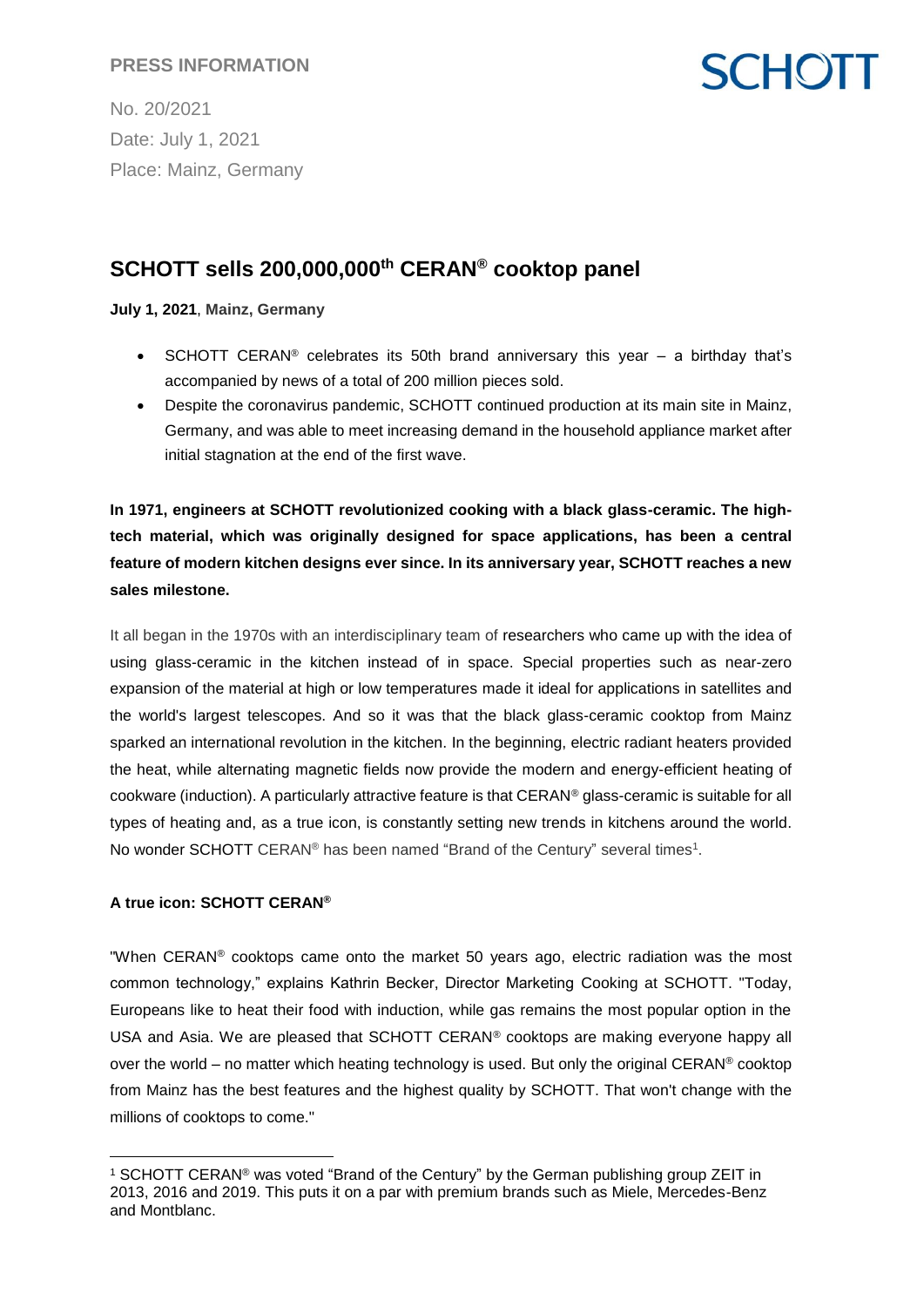## **PRESS INFORMATION**

No. 20/2021 Date: July 1, 2021 Place: Mainz, Germany

## **SCHOTT sells 200,000,000th CERAN® cooktop panel**

#### **July 1, 2021**, **Mainz, Germany**

• SCHOTT CERAN<sup>®</sup> celebrates its 50th brand anniversary this year  $-$  a birthday that's accompanied by news of a total of 200 million pieces sold.

**SCHOTT** 

 Despite the coronavirus pandemic, SCHOTT continued production at its main site in Mainz, Germany, and was able to meet increasing demand in the household appliance market after initial stagnation at the end of the first wave.

**In 1971, engineers at SCHOTT revolutionized cooking with a black glass-ceramic. The hightech material, which was originally designed for space applications, has been a central feature of modern kitchen designs ever since. In its anniversary year, SCHOTT reaches a new sales milestone.**

It all began in the 1970s with an interdisciplinary team of researchers who came up with the idea of using glass-ceramic in the kitchen instead of in space. Special properties such as near-zero expansion of the material at high or low temperatures made it ideal for applications in satellites and the world's largest telescopes. And so it was that the black glass-ceramic cooktop from Mainz sparked an international revolution in the kitchen. In the beginning, electric radiant heaters provided the heat, while alternating magnetic fields now provide the modern and energy-efficient heating of cookware (induction). A particularly attractive feature is that CERAN® glass-ceramic is suitable for all types of heating and, as a true icon, is constantly setting new trends in kitchens around the world. No wonder SCHOTT CERAN® has been named "Brand of the Century" several times<sup>1</sup>.

### **A true icon: SCHOTT CERAN®**

 $\overline{a}$ 

"When CERAN<sup>®</sup> cooktops came onto the market 50 years ago, electric radiation was the most common technology," explains Kathrin Becker, Director Marketing Cooking at SCHOTT. "Today, Europeans like to heat their food with induction, while gas remains the most popular option in the USA and Asia. We are pleased that SCHOTT CERAN® cooktops are making everyone happy all over the world – no matter which heating technology is used. But only the original CERAN<sup>®</sup> cooktop from Mainz has the best features and the highest quality by SCHOTT. That won't change with the millions of cooktops to come."

<sup>1</sup> SCHOTT CERAN® was voted "Brand of the Century" by the German publishing group ZEIT in 2013, 2016 and 2019. This puts it on a par with premium brands such as Miele, Mercedes-Benz and Montblanc.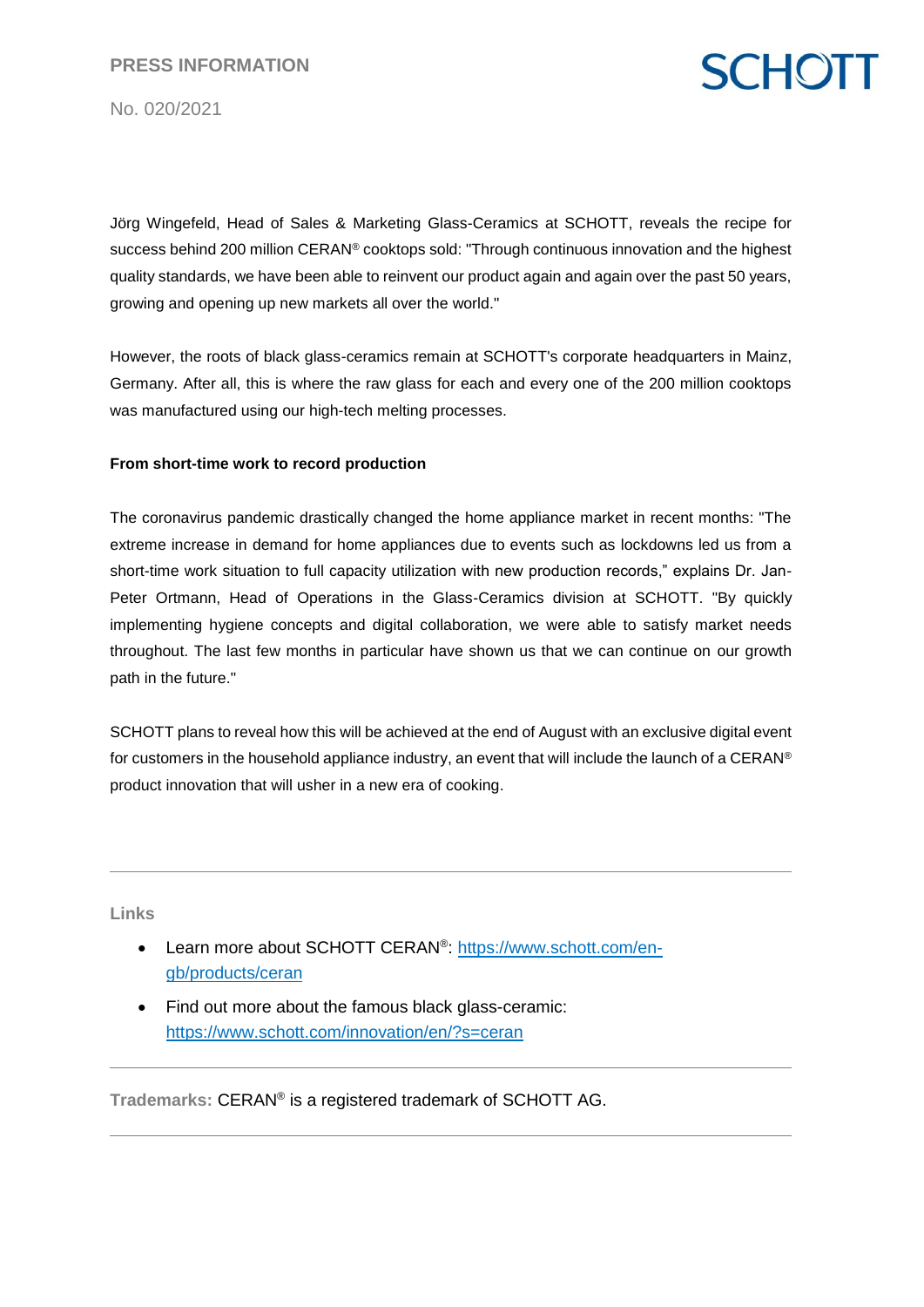# **SCHOTT**

No. 020/2021

Jörg Wingefeld, Head of Sales & Marketing Glass-Ceramics at SCHOTT, reveals the recipe for success behind 200 million CERAN® cooktops sold: "Through continuous innovation and the highest quality standards, we have been able to reinvent our product again and again over the past 50 years, growing and opening up new markets all over the world."

However, the roots of black glass-ceramics remain at SCHOTT's corporate headquarters in Mainz, Germany. After all, this is where the raw glass for each and every one of the 200 million cooktops was manufactured using our high-tech melting processes.

#### **From short-time work to record production**

The coronavirus pandemic drastically changed the home appliance market in recent months: "The extreme increase in demand for home appliances due to events such as lockdowns led us from a short-time work situation to full capacity utilization with new production records," explains Dr. Jan-Peter Ortmann, Head of Operations in the Glass-Ceramics division at SCHOTT. "By quickly implementing hygiene concepts and digital collaboration, we were able to satisfy market needs throughout. The last few months in particular have shown us that we can continue on our growth path in the future."

SCHOTT plans to reveal how this will be achieved at the end of August with an exclusive digital event for customers in the household appliance industry, an event that will include the launch of a CERAN® product innovation that will usher in a new era of cooking.

**Links**

- Learn more about SCHOTT CERAN®: [https://www.schott.com/en](https://www.schott.com/en-gb/products/ceran)[gb/products/ceran](https://www.schott.com/en-gb/products/ceran)
- Find out more about the famous black glass-ceramic: <https://www.schott.com/innovation/en/?s=ceran>

**Trademarks:** CERAN® is a registered trademark of SCHOTT AG.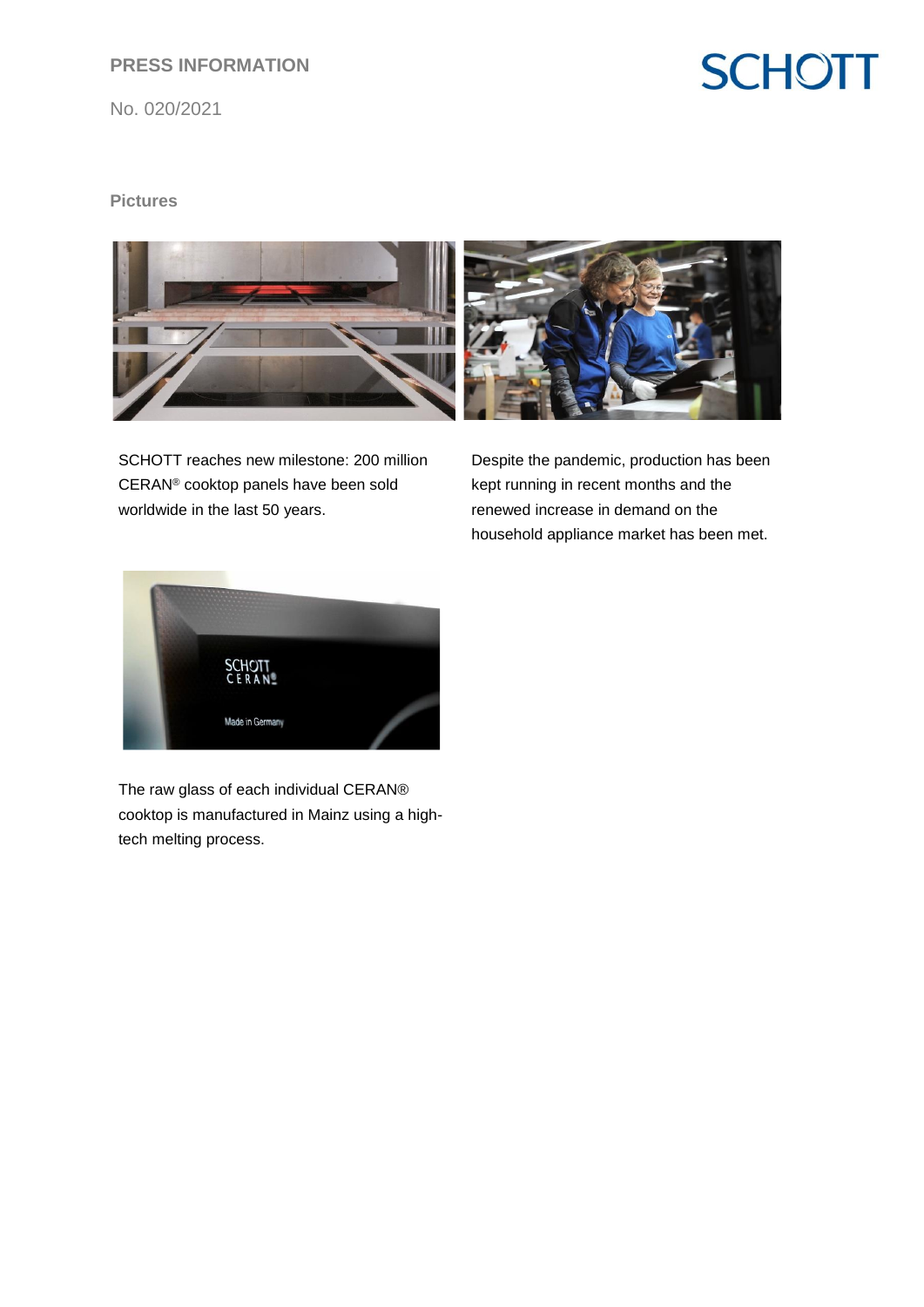## **PRESS INFORMATION**

No. 020/2021

# **SCHOTT**

### **Pictures**



SCHOTT reaches new milestone: 200 million CERAN® cooktop panels have been sold worldwide in the last 50 years.

Despite the pandemic, production has been kept running in recent months and the renewed increase in demand on the household appliance market has been met.



The raw glass of each individual CERAN® cooktop is manufactured in Mainz using a hightech melting process.